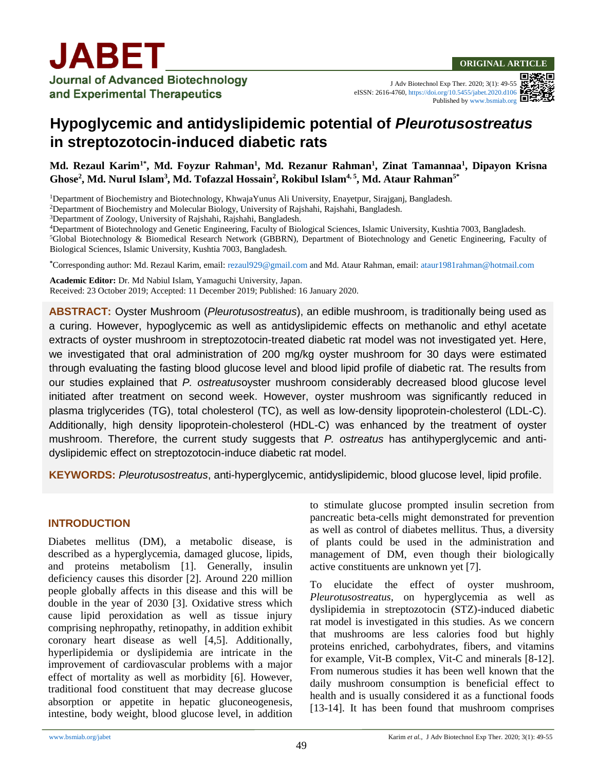#### **ORIGINAL ARTICLE**

J Adv Biotechnol Exp Ther. 2020; 3(1): 49-55 eISSN: 2616-4760,<https://doi.org/10.5455/jabet.2020.d106> Published b[y www.bsmiab.org](http://www.bsmiab.org/)

# **Hypoglycemic and antidyslipidemic potential of** *Pleurotusostreatus* **in streptozotocin-induced diabetic rats**

**Md. Rezaul Karim1\*, Md. Foyzur Rahman<sup>1</sup> , Md. Rezanur Rahman<sup>1</sup> , Zinat Tamannaa<sup>1</sup> , Dipayon Krisna Ghose<sup>2</sup> , Md. Nurul Islam<sup>3</sup> , Md. Tofazzal Hossain<sup>2</sup> , Rokibul Islam4, 5, Md. Ataur Rahman5\***

<sup>1</sup>Department of Biochemistry and Biotechnology, KhwajaYunus Ali University, Enayetpur, Sirajganj, Bangladesh.

<sup>2</sup>Department of Biochemistry and Molecular Biology, University of Rajshahi, Rajshahi, Bangladesh.

<sup>3</sup>Department of Zoology, University of Rajshahi, Rajshahi, Bangladesh.

<sup>4</sup>Department of Biotechnology and Genetic Engineering, Faculty of Biological Sciences, Islamic University, Kushtia 7003, Bangladesh.

<sup>5</sup>Global Biotechnology & Biomedical Research Network (GBBRN), Department of Biotechnology and Genetic Engineering, Faculty of Biological Sciences, Islamic University, Kushtia 7003, Bangladesh.

**\***Corresponding author: Md. Rezaul Karim, email: [rezaul929@gmail.com](mailto:rezaul929@gmail.com) and Md. Ataur Rahman, email: ataur1981rahman@hotmail.com

**Academic Editor:** Dr. Md Nabiul Islam, Yamaguchi University, Japan. Received: 23 October 2019; Accepted: 11 December 2019; Published: 16 January 2020.

**ABSTRACT:** Oyster Mushroom (*Pleurotusostreatus*), an edible mushroom, is traditionally being used as a curing. However, hypoglycemic as well as antidyslipidemic effects on methanolic and ethyl acetate extracts of oyster mushroom in streptozotocin-treated diabetic rat model was not investigated yet. Here, we investigated that oral administration of 200 mg/kg oyster mushroom for 30 days were estimated through evaluating the fasting blood glucose level and blood lipid profile of diabetic rat. The results from our studies explained that *P. ostreatus*oyster mushroom considerably decreased blood glucose level initiated after treatment on second week. However, oyster mushroom was significantly reduced in plasma triglycerides (TG), total cholesterol (TC), as well as low-density lipoprotein-cholesterol (LDL-C). Additionally, high density lipoprotein-cholesterol (HDL-C) was enhanced by the treatment of oyster mushroom. Therefore, the current study suggests that *P. ostreatus* has antihyperglycemic and antidyslipidemic effect on streptozotocin-induce diabetic rat model.

**KEYWORDS:** *Pleurotusostreatus*, anti-hyperglycemic, antidyslipidemic, blood glucose level, lipid profile.

#### **INTRODUCTION**

Diabetes mellitus (DM), a metabolic disease, is described as a hyperglycemia, damaged glucose, lipids, and proteins metabolism [1]. Generally, insulin deficiency causes this disorder [2]. Around 220 million people globally affects in this disease and this will be double in the year of 2030 [3]. Oxidative stress which cause lipid peroxidation as well as tissue injury comprising nephropathy, retinopathy, in addition exhibit coronary heart disease as well [4,5]. Additionally, hyperlipidemia or dyslipidemia are intricate in the improvement of cardiovascular problems with a major effect of mortality as well as morbidity [6]. However, traditional food constituent that may decrease glucose absorption or appetite in hepatic gluconeogenesis, intestine, body weight, blood glucose level, in addition

to stimulate glucose prompted insulin secretion from pancreatic beta-cells might demonstrated for prevention as well as control of diabetes mellitus. Thus, a diversity of plants could be used in the administration and management of DM, even though their biologically active constituents are unknown yet [7].

To elucidate the effect of oyster mushroom*, Pleurotusostreatus,* on hyperglycemia as well as dyslipidemia in streptozotocin (STZ)-induced diabetic rat model is investigated in this studies. As we concern that mushrooms are less calories food but highly proteins enriched, carbohydrates, fibers, and vitamins for example, Vit-B complex, Vit-C and minerals [8-12]. From numerous studies it has been well known that the daily mushroom consumption is beneficial effect to health and is usually considered it as a functional foods [13-14]. It has been found that mushroom comprises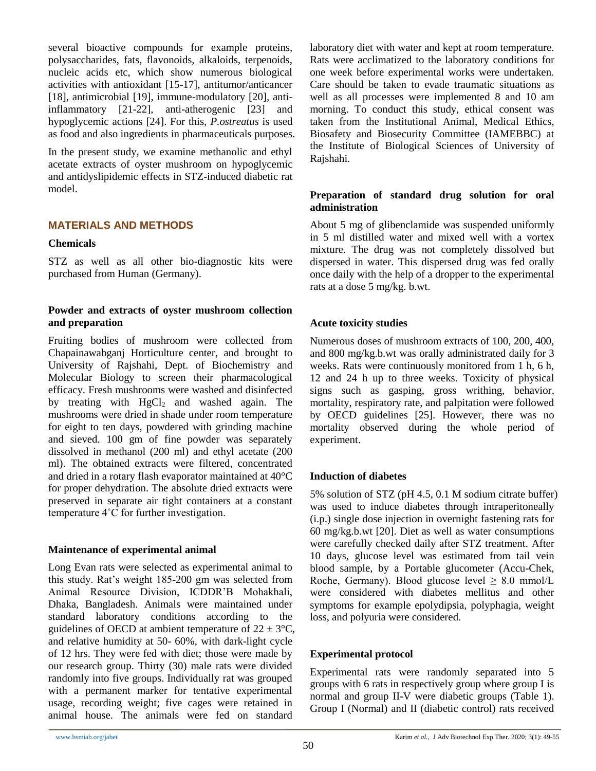several bioactive compounds for example proteins, polysaccharides, fats, flavonoids, alkaloids, terpenoids, nucleic acids etc, which show numerous biological activities with antioxidant [15-17], antitumor/anticancer [18], antimicrobial [19], immune-modulatory [20], antiinflammatory [21-22], anti-atherogenic [23] and hypoglycemic actions [24]. For this, *P.ostreatus* is used as food and also ingredients in pharmaceuticals purposes.

In the present study, we examine methanolic and ethyl acetate extracts of oyster mushroom on hypoglycemic and antidyslipidemic effects in STZ-induced diabetic rat model.

# **MATERIALS AND METHODS**

#### **Chemicals**

STZ as well as all other bio-diagnostic kits were purchased from Human (Germany).

## **Powder and extracts of oyster mushroom collection and preparation**

Fruiting bodies of mushroom were collected from Chapainawabganj Horticulture center, and brought to University of Rajshahi, Dept. of Biochemistry and Molecular Biology to screen their pharmacological efficacy. Fresh mushrooms were washed and disinfected by treating with  $HgCl<sub>2</sub>$  and washed again. The mushrooms were dried in shade under room temperature for eight to ten days, powdered with grinding machine and sieved. 100 gm of fine powder was separately dissolved in methanol (200 ml) and ethyl acetate (200 ml). The obtained extracts were filtered, concentrated and dried in a rotary flash evaporator maintained at 40°C for proper dehydration. The absolute dried extracts were preserved in separate air tight containers at a constant temperature 4˚C for further investigation.

#### **Maintenance of experimental animal**

Long Evan rats were selected as experimental animal to this study. Rat's weight 185-200 gm was selected from Animal Resource Division, ICDDR'B Mohakhali, Dhaka, Bangladesh. Animals were maintained under standard laboratory conditions according to the guidelines of OECD at ambient temperature of  $22 \pm 3$ °C, and relative humidity at 50- 60%, with dark-light cycle of 12 hrs. They were fed with diet; those were made by our research group. Thirty (30) male rats were divided randomly into five groups. Individually rat was grouped with a permanent marker for tentative experimental usage, recording weight; five cages were retained in animal house. The animals were fed on standard

laboratory diet with water and kept at room temperature. Rats were acclimatized to the laboratory conditions for one week before experimental works were undertaken. Care should be taken to evade traumatic situations as well as all processes were implemented 8 and 10 am morning. To conduct this study, ethical consent was taken from the Institutional Animal, Medical Ethics, Biosafety and Biosecurity Committee (IAMEBBC) at the Institute of Biological Sciences of University of Rajshahi.

## **Preparation of standard drug solution for oral administration**

About 5 mg of glibenclamide was suspended uniformly in 5 ml distilled water and mixed well with a vortex mixture. The drug was not completely dissolved but dispersed in water. This dispersed drug was fed orally once daily with the help of a dropper to the experimental rats at a dose 5 mg/kg. b.wt.

# **Acute toxicity studies**

Numerous doses of mushroom extracts of 100, 200, 400, and 800 mg/kg.b.wt was orally administrated daily for 3 weeks. Rats were continuously monitored from 1 h, 6 h, 12 and 24 h up to three weeks. Toxicity of physical signs such as gasping, gross writhing, behavior, mortality, respiratory rate, and palpitation were followed by OECD guidelines [25]. However, there was no mortality observed during the whole period of experiment.

# **Induction of diabetes**

5% solution of STZ (pH 4.5, 0.1 M sodium citrate buffer) was used to induce diabetes through intraperitoneally (i.p.) single dose injection in overnight fastening rats for 60 mg/kg.b.wt [20]. Diet as well as water consumptions were carefully checked daily after STZ treatment. After 10 days, glucose level was estimated from tail vein blood sample, by a Portable glucometer (Accu-Chek, Roche, Germany). Blood glucose level  $\geq 8.0$  mmol/L were considered with diabetes mellitus and other symptoms for example epolydipsia, polyphagia, weight loss, and polyuria were considered.

# **Experimental protocol**

Experimental rats were randomly separated into 5 groups with 6 rats in respectively group where group I is normal and group II-V were diabetic groups (Table 1). Group I (Normal) and II (diabetic control) rats received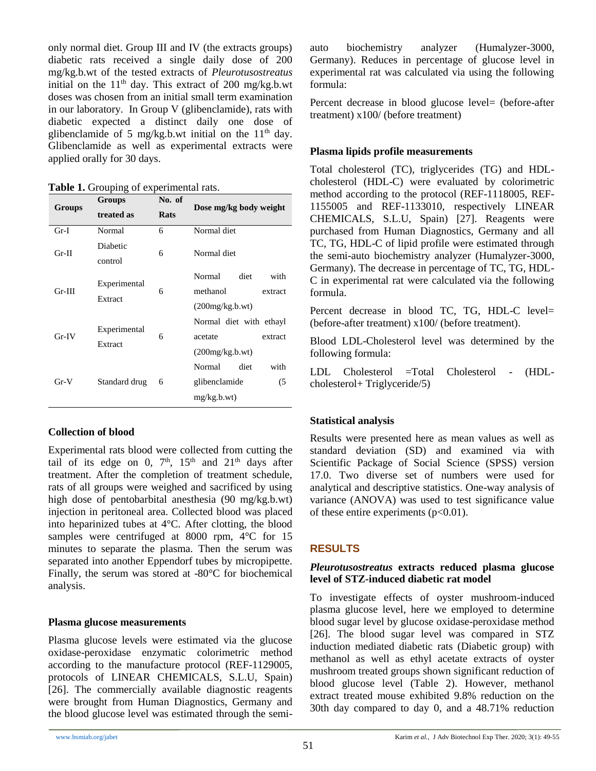only normal diet. Group III and IV (the extracts groups) diabetic rats received a single daily dose of 200 mg/kg.b.wt of the tested extracts of *Pleurotusostreatus* initial on the 11<sup>th</sup> day. This extract of 200 mg/kg.b.wt doses was chosen from an initial small term examination in our laboratory. In Group V (glibenclamide), rats with diabetic expected a distinct daily one dose of glibenclamide of 5 mg/kg.b.wt initial on the  $11<sup>th</sup>$  day. Glibenclamide as well as experimental extracts were applied orally for 30 days.

**Table 1.** Grouping of experimental rats.

| Groups   | <b>Groups</b>           | No. of | Dose mg/kg body weight  |  |
|----------|-------------------------|--------|-------------------------|--|
|          | treated as              | Rats   |                         |  |
| $Gr-I$   | Normal                  | 6      | Normal diet             |  |
| $Gr-II$  | Diabetic                | 6      | Normal diet             |  |
|          | control                 |        |                         |  |
| $Gr-III$ | Experimental<br>Extract | 6      | with<br>Normal<br>diet  |  |
|          |                         |        | methanol<br>extract     |  |
|          |                         |        | (200mg/kg.b.wt)         |  |
| Gr IV    | Experimental<br>Extract | 6      | Normal diet with ethayl |  |
|          |                         |        | acetate<br>extract      |  |
|          |                         |        | (200mg/kg.b.wt)         |  |
| $Gr-V$   | Standard drug           | 6      | with<br>Normal<br>diet  |  |
|          |                         |        | glibenclamide<br>(5)    |  |
|          |                         |        | mg/kg.b.wt)             |  |

# **Collection of blood**

Experimental rats blood were collected from cutting the tail of its edge on 0,  $7<sup>th</sup>$ ,  $15<sup>th</sup>$  and  $21<sup>th</sup>$  days after treatment. After the completion of treatment schedule, rats of all groups were weighed and sacrificed by using high dose of pentobarbital anesthesia (90 mg/kg.b.wt) injection in peritoneal area. Collected blood was placed into heparinized tubes at 4°C. After clotting, the blood samples were centrifuged at 8000 rpm,  $4^{\circ}$ C for 15 minutes to separate the plasma. Then the serum was separated into another Eppendorf tubes by micropipette. Finally, the serum was stored at -80°C for biochemical analysis.

#### **Plasma glucose measurements**

Plasma glucose levels were estimated via the glucose oxidase-peroxidase enzymatic colorimetric method according to the manufacture protocol (REF-1129005, protocols of LINEAR CHEMICALS, S.L.U, Spain) [26]. The commercially available diagnostic reagents were brought from Human Diagnostics, Germany and the blood glucose level was estimated through the semiauto biochemistry analyzer (Humalyzer-3000, Germany). Reduces in percentage of glucose level in experimental rat was calculated via using the following formula:

Percent decrease in blood glucose level= (before-after treatment) x100/ (before treatment)

# **Plasma lipids profile measurements**

Total cholesterol (TC), triglycerides (TG) and HDLcholesterol (HDL-C) were evaluated by colorimetric method according to the protocol (REF-1118005, REF-1155005 and REF-1133010, respectively LINEAR CHEMICALS, S.L.U, Spain) [27]. Reagents were purchased from Human Diagnostics, Germany and all TC, TG, HDL-C of lipid profile were estimated through the semi-auto biochemistry analyzer (Humalyzer-3000, Germany). The decrease in percentage of TC, TG, HDL-C in experimental rat were calculated via the following formula.

Percent decrease in blood TC, TG, HDL-C level= (before-after treatment) x100/ (before treatment).

Blood LDL-Cholesterol level was determined by the following formula:

LDL Cholesterol =Total Cholesterol - (HDLcholesterol+ Triglyceride/5)

# **Statistical analysis**

Results were presented here as mean values as well as standard deviation (SD) and examined via with Scientific Package of Social Science (SPSS) version 17.0. Two diverse set of numbers were used for analytical and descriptive statistics. One-way analysis of variance (ANOVA) was used to test significance value of these entire experiments  $(p<0.01)$ .

# **RESULTS**

## *Pleurotusostreatus* **extracts reduced plasma glucose level of STZ-induced diabetic rat model**

To investigate effects of oyster mushroom-induced plasma glucose level, here we employed to determine blood sugar level by glucose oxidase-peroxidase method [26]. The blood sugar level was compared in STZ induction mediated diabetic rats (Diabetic group) with methanol as well as ethyl acetate extracts of oyster mushroom treated groups shown significant reduction of blood glucose level (Table 2). However, methanol extract treated mouse exhibited 9.8% reduction on the 30th day compared to day 0, and a 48.71% reduction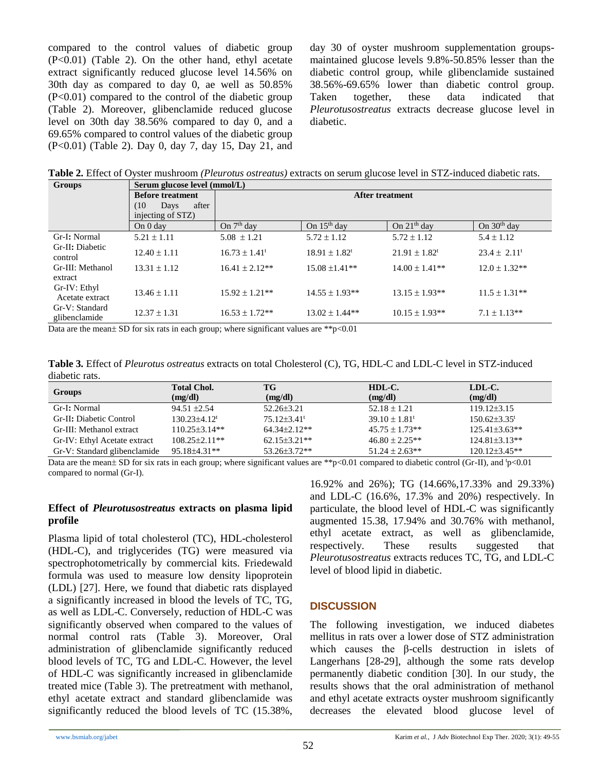compared to the control values of diabetic group (P<0.01) (Table 2). On the other hand, ethyl acetate extract significantly reduced glucose level 14.56% on 30th day as compared to day 0, ae well as 50.85% (P<0.01) compared to the control of the diabetic group (Table 2). Moreover, glibenclamide reduced glucose level on 30th day 38.56% compared to day 0, and a 69.65% compared to control values of the diabetic group (P<0.01) (Table 2). Day 0, day 7, day 15, Day 21, and day 30 of oyster mushroom supplementation groupsmaintained glucose levels 9.8%-50.85% lesser than the diabetic control group, while glibenclamide sustained 38.56%-69.65% lower than diabetic control group. Taken together, these data indicated that *Pleurotusostreatus* extracts decrease glucose level in diabetic.

**Table 2.** Effect of Oyster mushroom *(Pleurotus ostreatus)* extracts on serum glucose level in STZ-induced diabetic rats.

| <b>Groups</b>                   | Serum glucose level (mmol/L) |                               |                               |                               |                              |  |  |
|---------------------------------|------------------------------|-------------------------------|-------------------------------|-------------------------------|------------------------------|--|--|
|                                 | <b>Before treatment</b>      | <b>After treatment</b>        |                               |                               |                              |  |  |
|                                 | after<br>(10)<br>Days        |                               |                               |                               |                              |  |  |
|                                 | injecting of STZ)            |                               |                               |                               |                              |  |  |
|                                 | On 0 day                     | On 7 <sup>th</sup> day        | On $15th$ day                 | On $21th$ day                 | On $30th$ day                |  |  |
| Gr-I: Normal                    | $5.21 \pm 1.11$              | $5.08 \pm 1.21$               | $5.72 \pm 1.12$               | $5.72 \pm 1.12$               | $5.4 \pm 1.12$               |  |  |
| Gr-II: Diabetic<br>control      | $12.40 \pm 1.11$             | $16.73 \pm 1.41$ <sup>t</sup> | $18.91 \pm 1.82$ <sup>t</sup> | $21.91 \pm 1.82$ <sup>t</sup> | $23.4 \pm 2.11$ <sup>t</sup> |  |  |
| Gr-III: Methanol<br>extract     | $13.31 \pm 1.12$             | $16.41 \pm 2.12**$            | $15.08 \pm 1.41**$            | $14.00 \pm 1.41**$            | $12.0 \pm 1.32**$            |  |  |
| Gr-IV: Ethyl<br>Acetate extract | $13.46 \pm 1.11$             | $15.92 \pm 1.21**$            | $14.55 \pm 1.93**$            | $13.15 \pm 1.93**$            | $11.5 \pm 1.31**$            |  |  |
| Gr-V: Standard<br>glibenclamide | $12.37 \pm 1.31$             | $16.53 \pm 1.72**$            | $13.02 \pm 1.44**$            | $10.15 \pm 1.93**$            | $7.1 \pm 1.13**$             |  |  |

Data are the mean  $\pm$  SD for six rats in each group; where significant values are \*\*p $< 0.01$ 

**Table 3.** Effect of *Pleurotus ostreatus* extracts on total Cholesterol (C), TG, HDL-C and LDL-C level in STZ-induced diabetic rats.

| Groups                       | <b>Total Chol.</b><br>(mg/dl) | <b>TG</b><br>(mg/dl)          | HDL-C.<br>(mg/dl)             | LDL-C.<br>(mg/dl)   |
|------------------------------|-------------------------------|-------------------------------|-------------------------------|---------------------|
| Gr-I: Normal                 | $94.51 \pm 2.54$              | $52.26 \pm 3.21$              | $52.18 \pm 1.21$              | $119.12\pm3.15$     |
| Gr-II: Diabetic Control      | $130.23 + 4.12$ <sup>t</sup>  | $75.12 \pm 3.41$ <sup>t</sup> | $39.10 \pm 1.81$ <sup>t</sup> | $150.62 \pm 3.35$   |
| Gr-III: Methanol extract     | $110.25 \pm 3.14**$           | $64.34\pm2.12**$              | $45.75 \pm 1.73**$            | $125.41 \pm 3.63**$ |
| Gr-IV: Ethyl Acetate extract | $108.25 \pm 2.11**$           | $62.15 \pm 3.21$ **           | $46.80 \pm 2.25**$            | $124.81 \pm 3.13**$ |
| Gr-V: Standard glibenclamide | $95.18\pm4.31**$              | 53.26±3.72**                  | $51.24 \pm 2.63**$            | $120.12\pm3.45**$   |

Data are the mean  $\pm$  SD for six rats in each group; where significant values are \*\*p<0.01 compared to diabetic control (Gr-II), and  $\frac{1}{2}$  (O.01) compared to normal (Gr-I).

#### **Effect of** *Pleurotusostreatus* **extracts on plasma lipid profile**

Plasma lipid of total cholesterol (TC), HDL-cholesterol (HDL-C), and triglycerides (TG) were measured via spectrophotometrically by commercial kits. Friedewald formula was used to measure low density lipoprotein (LDL) [27]. Here, we found that diabetic rats displayed a significantly increased in blood the levels of TC, TG, as well as LDL-C. Conversely, reduction of HDL-C was significantly observed when compared to the values of normal control rats (Table 3). Moreover, Oral administration of glibenclamide significantly reduced blood levels of TC, TG and LDL-C. However, the level of HDL-C was significantly increased in glibenclamide treated mice (Table 3). The pretreatment with methanol, ethyl acetate extract and standard glibenclamide was significantly reduced the blood levels of TC (15.38%, 16.92% and 26%); TG (14.66%,17.33% and 29.33%) and LDL-C (16.6%, 17.3% and 20%) respectively. In particulate, the blood level of HDL-C was significantly augmented 15.38, 17.94% and 30.76% with methanol, ethyl acetate extract, as well as glibenclamide, respectively. These results suggested that *Pleurotusostreatus* extracts reduces TC, TG, and LDL-C level of blood lipid in diabetic.

# **DISCUSSION**

The following investigation, we induced diabetes mellitus in rats over a lower dose of STZ administration which causes the β-cells destruction in islets of Langerhans [28-29], although the some rats develop permanently diabetic condition [30]. In our study, the results shows that the oral administration of methanol and ethyl acetate extracts oyster mushroom significantly decreases the elevated blood glucose level of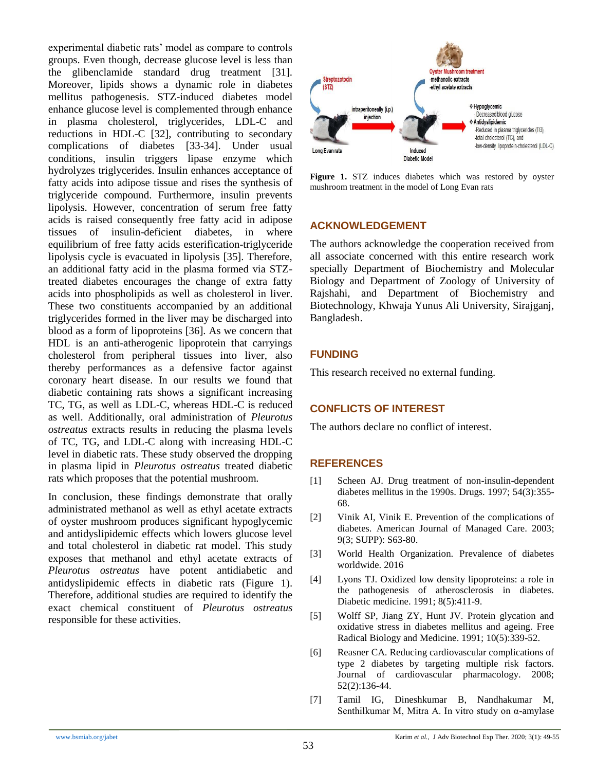experimental diabetic rats' model as compare to controls groups. Even though, decrease glucose level is less than the glibenclamide standard drug treatment [31]. Moreover, lipids shows a dynamic role in diabetes mellitus pathogenesis. STZ-induced diabetes model enhance glucose level is complemented through enhance in plasma cholesterol, triglycerides, LDL-C and reductions in HDL-C [32], contributing to secondary complications of diabetes [33-34]. Under usual conditions, insulin triggers lipase enzyme which hydrolyzes triglycerides. Insulin enhances acceptance of fatty acids into adipose tissue and rises the synthesis of triglyceride compound. Furthermore, insulin prevents lipolysis. However, concentration of serum free fatty acids is raised consequently free fatty acid in adipose tissues of insulin-deficient diabetes, in where equilibrium of free fatty acids esterification-triglyceride lipolysis cycle is evacuated in lipolysis [35]. Therefore, an additional fatty acid in the plasma formed via STZtreated diabetes encourages the change of extra fatty acids into phospholipids as well as cholesterol in liver. These two constituents accompanied by an additional triglycerides formed in the liver may be discharged into blood as a form of lipoproteins [36]. As we concern that HDL is an anti-atherogenic lipoprotein that carryings cholesterol from peripheral tissues into liver, also thereby performances as a defensive factor against coronary heart disease. In our results we found that diabetic containing rats shows a significant increasing TC, TG, as well as LDL-C, whereas HDL-C is reduced as well. Additionally, oral administration of *Pleurotus ostreatus* extracts results in reducing the plasma levels of TC, TG, and LDL-C along with increasing HDL-C level in diabetic rats. These study observed the dropping in plasma lipid in *Pleurotus ostreatus* treated diabetic rats which proposes that the potential mushroom.

In conclusion, these findings demonstrate that orally administrated methanol as well as ethyl acetate extracts of oyster mushroom produces significant hypoglycemic and antidyslipidemic effects which lowers glucose level and total cholesterol in diabetic rat model. This study exposes that methanol and ethyl acetate extracts of *Pleurotus ostreatus* have potent antidiabetic and antidyslipidemic effects in diabetic rats (Figure 1). Therefore, additional studies are required to identify the exact chemical constituent of *Pleurotus ostreatus* responsible for these activities.



**Figure 1.** STZ induces diabetes which was restored by oyster mushroom treatment in the model of Long Evan rats

#### **ACKNOWLEDGEMENT**

The authors acknowledge the cooperation received from all associate concerned with this entire research work specially Department of Biochemistry and Molecular Biology and Department of Zoology of University of Rajshahi, and Department of Biochemistry and Biotechnology, Khwaja Yunus Ali University, Sirajganj, Bangladesh.

#### **FUNDING**

This research received no external funding.

#### **CONFLICTS OF INTEREST**

The authors declare no conflict of interest.

#### **REFERENCES**

- [1] Scheen AJ. Drug treatment of non-insulin-dependent diabetes mellitus in the 1990s. Drugs. 1997; 54(3):355- 68.
- [2] Vinik AI, Vinik E. Prevention of the complications of diabetes. American Journal of Managed Care. 2003; 9(3; SUPP): S63-80.
- [3] World Health Organization. Prevalence of diabetes worldwide. 2016
- [4] Lyons TJ. Oxidized low density lipoproteins: a role in the pathogenesis of atherosclerosis in diabetes. Diabetic medicine. 1991; 8(5):411-9.
- [5] Wolff SP, Jiang ZY, Hunt JV. Protein glycation and oxidative stress in diabetes mellitus and ageing. Free Radical Biology and Medicine. 1991; 10(5):339-52.
- [6] Reasner CA. Reducing cardiovascular complications of type 2 diabetes by targeting multiple risk factors. Journal of cardiovascular pharmacology. 2008; 52(2):136-44.
- [7] Tamil IG, Dineshkumar B, Nandhakumar M, Senthilkumar M, Mitra A. In vitro study on α-amylase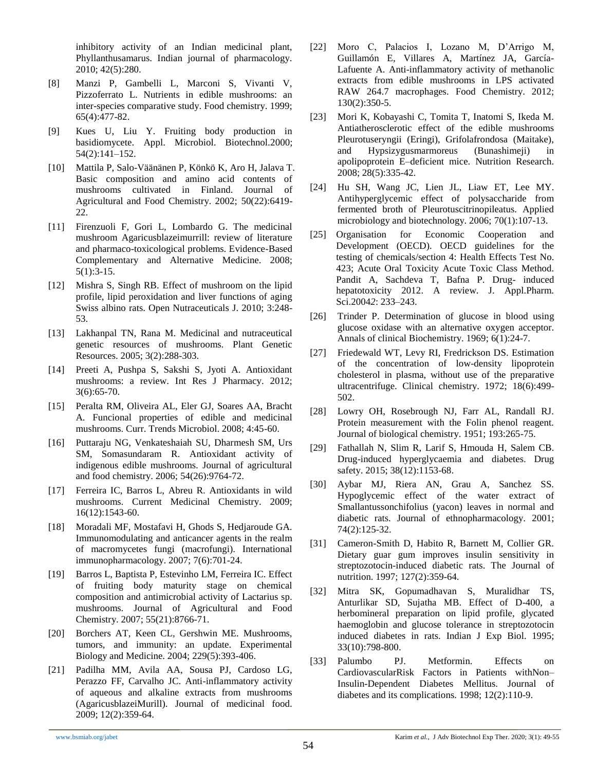inhibitory activity of an Indian medicinal plant, Phyllanthusamarus. Indian journal of pharmacology. 2010; 42(5):280.

- [8] Manzi P, Gambelli L, Marconi S, Vivanti V, Pizzoferrato L. Nutrients in edible mushrooms: an inter-species comparative study. Food chemistry. 1999; 65(4):477-82.
- [9] Kues U, Liu Y. Fruiting body production in basidiomycete. Appl. Microbiol. Biotechnol.2000; 54(2):141–152.
- [10] Mattila P, Salo-Väänänen P, Könkö K, Aro H, Jalava T. Basic composition and amino acid contents of mushrooms cultivated in Finland. Journal of Agricultural and Food Chemistry. 2002; 50(22):6419- 22.
- [11] Firenzuoli F, Gori L, Lombardo G. The medicinal mushroom Agaricusblazeimurrill: review of literature and pharmaco-toxicological problems. Evidence-Based Complementary and Alternative Medicine. 2008; 5(1):3-15.
- [12] Mishra S, Singh RB. Effect of mushroom on the lipid profile, lipid peroxidation and liver functions of aging Swiss albino rats. Open Nutraceuticals J. 2010; 3:248- 53.
- [13] Lakhanpal TN, Rana M. Medicinal and nutraceutical genetic resources of mushrooms. Plant Genetic Resources. 2005; 3(2):288-303.
- [14] Preeti A, Pushpa S, Sakshi S, Jyoti A. Antioxidant mushrooms: a review. Int Res J Pharmacy. 2012; 3(6):65-70.
- [15] Peralta RM, Oliveira AL, Eler GJ, Soares AA, Bracht A. Funcional properties of edible and medicinal mushrooms. Curr. Trends Microbiol. 2008; 4:45-60.
- [16] Puttaraju NG, Venkateshaiah SU, Dharmesh SM, Urs SM, Somasundaram R. Antioxidant activity of indigenous edible mushrooms. Journal of agricultural and food chemistry. 2006; 54(26):9764-72.
- [17] Ferreira IC, Barros L, Abreu R. Antioxidants in wild mushrooms. Current Medicinal Chemistry. 2009; 16(12):1543-60.
- [18] Moradali MF, Mostafavi H, Ghods S, Hediaroude GA. Immunomodulating and anticancer agents in the realm of macromycetes fungi (macrofungi). International immunopharmacology. 2007; 7(6):701-24.
- [19] Barros L, Baptista P, Estevinho LM, Ferreira IC. Effect of fruiting body maturity stage on chemical composition and antimicrobial activity of Lactarius sp. mushrooms. Journal of Agricultural and Food Chemistry. 2007; 55(21):8766-71.
- [20] Borchers AT, Keen CL, Gershwin ME. Mushrooms, tumors, and immunity: an update. Experimental Biology and Medicine. 2004; 229(5):393-406.
- [21] Padilha MM, Avila AA, Sousa PJ, Cardoso LG, Perazzo FF, Carvalho JC. Anti-inflammatory activity of aqueous and alkaline extracts from mushrooms (AgaricusblazeiMurill). Journal of medicinal food. 2009; 12(2):359-64.
- [22] Moro C, Palacios I, Lozano M, D'Arrigo M, Guillamón E, Villares A, Martínez JA, García-Lafuente A. Anti-inflammatory activity of methanolic extracts from edible mushrooms in LPS activated RAW 264.7 macrophages. Food Chemistry. 2012; 130(2):350-5.
- [23] Mori K, Kobayashi C, Tomita T, Inatomi S, Ikeda M. Antiatherosclerotic effect of the edible mushrooms Pleurotuseryngii (Eringi), Grifolafrondosa (Maitake), and Hypsizygusmarmoreus (Bunashimeji) in apolipoprotein E–deficient mice. Nutrition Research. 2008; 28(5):335-42.
- [24] Hu SH, Wang JC, Lien JL, Liaw ET, Lee MY. Antihyperglycemic effect of polysaccharide from fermented broth of Pleurotuscitrinopileatus. Applied microbiology and biotechnology. 2006; 70(1):107-13.
- [25] Organisation for Economic Cooperation and Development (OECD). OECD guidelines for the testing of chemicals/section 4: Health Effects Test No. 423; Acute Oral Toxicity Acute Toxic Class Method. Pandit A, Sachdeva T, Bafna P. Drug- induced hepatotoxicity 2012. A review. J. Appl.Pharm. Sci.2004*2*: 233–243.
- [26] Trinder P. Determination of glucose in blood using glucose oxidase with an alternative oxygen acceptor. Annals of clinical Biochemistry. 1969; 6(1):24-7.
- [27] Friedewald WT, Levy RI, Fredrickson DS. Estimation of the concentration of low-density lipoprotein cholesterol in plasma, without use of the preparative ultracentrifuge. Clinical chemistry. 1972; 18(6):499- 502.
- [28] Lowry OH, Rosebrough NJ, Farr AL, Randall RJ. Protein measurement with the Folin phenol reagent. Journal of biological chemistry. 1951; 193:265-75.
- [29] Fathallah N, Slim R, Larif S, Hmouda H, Salem CB. Drug-induced hyperglycaemia and diabetes. Drug safety. 2015; 38(12):1153-68.
- [30] Aybar MJ, Riera AN, Grau A, Sanchez SS. Hypoglycemic effect of the water extract of Smallantussonchifolius (yacon) leaves in normal and diabetic rats. Journal of ethnopharmacology. 2001; 74(2):125-32.
- [31] Cameron-Smith D, Habito R, Barnett M, Collier GR. Dietary guar gum improves insulin sensitivity in streptozotocin-induced diabetic rats. The Journal of nutrition. 1997; 127(2):359-64.
- [32] Mitra SK, Gopumadhavan S, Muralidhar TS, Anturlikar SD, Sujatha MB. Effect of D-400, a herbomineral preparation on lipid profile, glycated haemoglobin and glucose tolerance in streptozotocin induced diabetes in rats. Indian J Exp Biol. 1995; 33(10):798-800.
- [33] Palumbo PJ. Metformin. Effects on CardiovascularRisk Factors in Patients withNon– Insulin-Dependent Diabetes Mellitus. Journal of diabetes and its complications. 1998; 12(2):110-9.